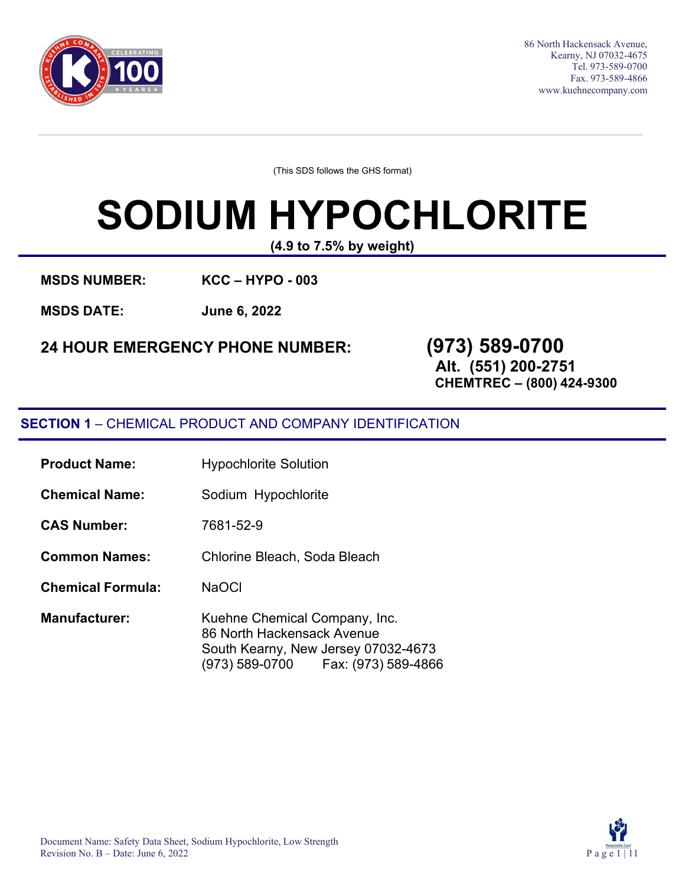

86 North Hackensack Avenue, Kearny, NJ 07032-4675 Tel. 973-589-0700 Fax. 973-589-4866 [www.kuehnecompany.com](http://www.kuehnecompany.com/)

(This SDS follows the GHS format)

# **SODIUM HYPOCHLORITE**

**(4.9 to 7.5% by weight)**

**MSDS NUMBER: KCC – HYPO - 003** 

**MSDS DATE: June 6, 2022**

**24 HOUR EMERGENCY PHONE NUMBER: (973) 589-0700**

**Alt. (551) 200-2751 CHEMTREC – (800) 424-9300**

#### **SECTION 1** – CHEMICAL PRODUCT AND COMPANY IDENTIFICATION

- **Product Name:** Hypochlorite Solution
- **Chemical Name:** Sodium Hypochlorite
- **CAS Number:** 7681-52-9
- **Common Names:** Chlorine Bleach, Soda Bleach
- **Chemical Formula:** NaOCl
- **Manufacturer:** Kuehne Chemical Company, Inc. 86 North Hackensack Avenue South Kearny, New Jersey 07032-4673 (973) 589-0700 Fax: (973) 589-4866

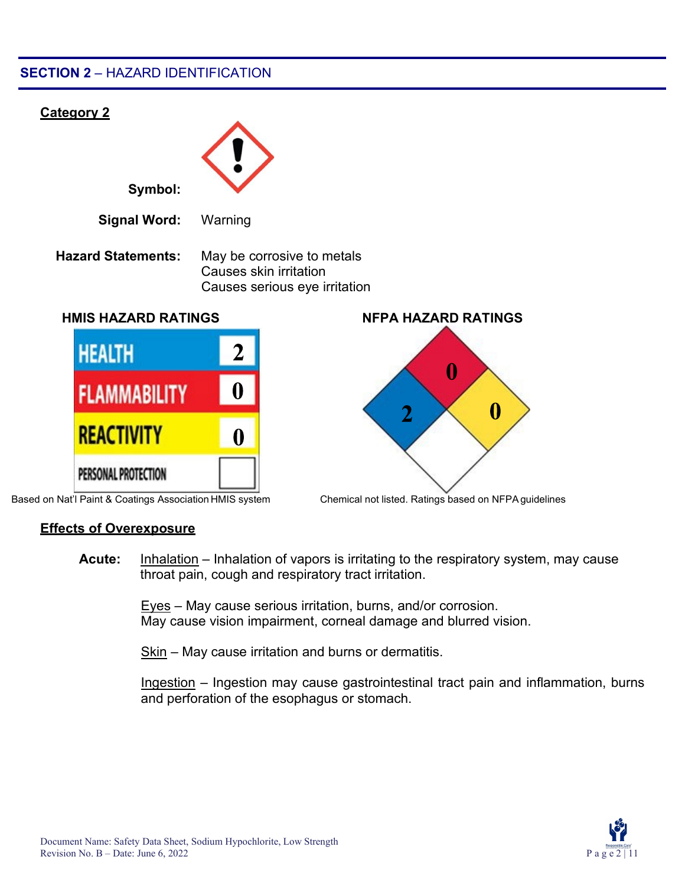#### **SECTION 2** – HAZARD IDENTIFICATION



Based on Nat'l Paint & Coatings Association HMIS system Chemical not listed. Ratings based on NFPAguidelines

#### **Effects of Overexposure**

**Acute:** Inhalation – Inhalation of vapors is irritating to the respiratory system, may cause throat pain, cough and respiratory tract irritation.

> Eyes – May cause serious irritation, burns, and/or corrosion. May cause vision impairment, corneal damage and blurred vision.

Skin – May cause irritation and burns or dermatitis.

Ingestion – Ingestion may cause gastrointestinal tract pain and inflammation, burns and perforation of the esophagus or stomach.

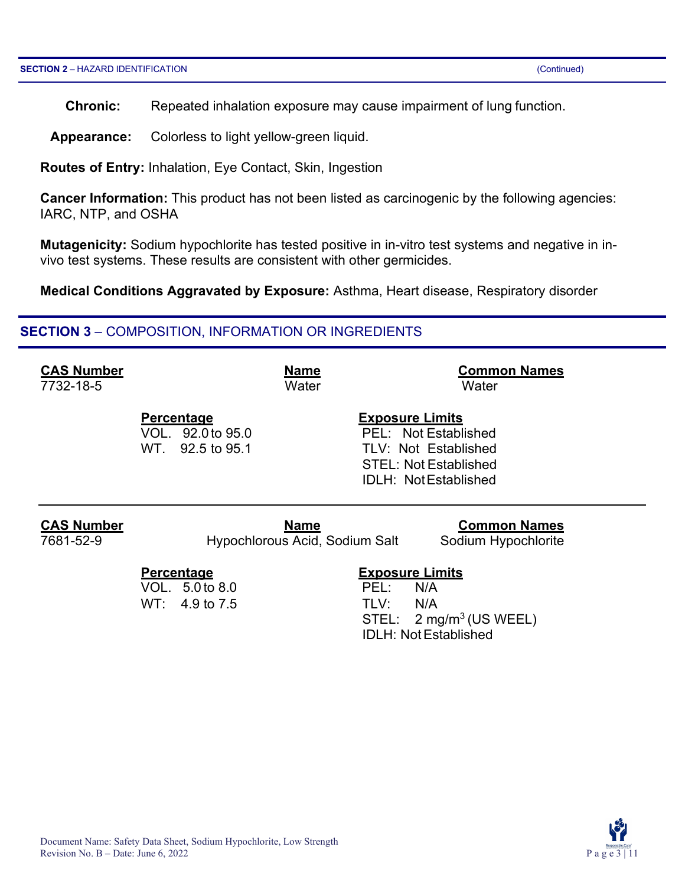**Chronic:** Repeated inhalation exposure may cause impairment of lung function.

**Appearance:** Colorless to light yellow-green liquid.

**Routes of Entry:** Inhalation, Eye Contact, Skin, Ingestion

**Cancer Information:** This product has not been listed as carcinogenic by the following agencies: IARC, NTP, and OSHA

**Mutagenicity:** Sodium hypochlorite has tested positive in in-vitro test systems and negative in invivo test systems. These results are consistent with other germicides.

**Medical Conditions Aggravated by Exposure:** Asthma, Heart disease, Respiratory disorder

#### **SECTION 3** – COMPOSITION, INFORMATION OR INGREDIENTS

| <b>CAS Number</b> | <b>Name</b>                                                       | <b>Common Names</b>                                                                                                                   |
|-------------------|-------------------------------------------------------------------|---------------------------------------------------------------------------------------------------------------------------------------|
| 7732-18-5         | Water                                                             | Water                                                                                                                                 |
|                   | <b>Percentage</b><br>VOL. 92.0 to 95.0<br>WT. 92.5 to 95.1        | <b>Exposure Limits</b><br>PEL: Not Established<br>TLV: Not Established<br><b>STEL: Not Established</b><br><b>IDLH: NotEstablished</b> |
| <b>CAS Number</b> | <b>Name</b>                                                       | <b>Common Names</b>                                                                                                                   |
| 7681-52-9         | Hypochlorous Acid, Sodium Salt                                    | Sodium Hypochlorite                                                                                                                   |
|                   | <b>Percentage</b><br>VOL. 5.0 to 8.0<br>$WT: 4.9 \text{ to } 7.5$ | <b>Exposure Limits</b><br>PEL:<br>N/A<br>TLV:<br>N/A<br>STEL: $2 \text{ mg/m}^3$ (US WEEL)<br><b>IDLH: Not Established</b>            |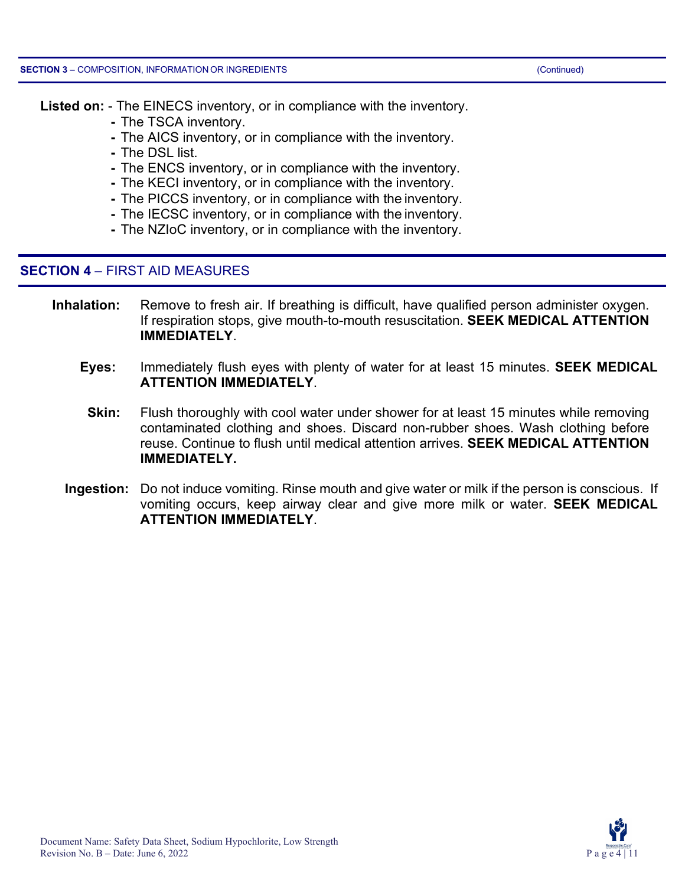**Listed on:** - The EINECS inventory, or in compliance with the inventory.

- **-** The TSCA inventory.
- **-** The AICS inventory, or in compliance with the inventory.
- **-** The DSL list.
- **-** The ENCS inventory, or in compliance with the inventory.
- **-** The KECI inventory, or in compliance with the inventory.
- **-** The PICCS inventory, or in compliance with the inventory.
- **-** The IECSC inventory, or in compliance with the inventory.
- **-** The NZIoC inventory, or in compliance with the inventory.

#### **SECTION 4** – FIRST AID MEASURES

- **Inhalation:** Remove to fresh air. If breathing is difficult, have qualified person administer oxygen. If respiration stops, give mouth-to-mouth resuscitation. **SEEK MEDICAL ATTENTION IMMEDIATELY**.
	- **Eyes:** Immediately flush eyes with plenty of water for at least 15 minutes. **SEEK MEDICAL ATTENTION IMMEDIATELY**.
	- **Skin:** Flush thoroughly with cool water under shower for at least 15 minutes while removing contaminated clothing and shoes. Discard non-rubber shoes. Wash clothing before reuse. Continue to flush until medical attention arrives. **SEEK MEDICAL ATTENTION IMMEDIATELY.**
	- **Ingestion:** Do not induce vomiting. Rinse mouth and give water or milk if the person is conscious. If vomiting occurs, keep airway clear and give more milk or water. **SEEK MEDICAL ATTENTION IMMEDIATELY**.

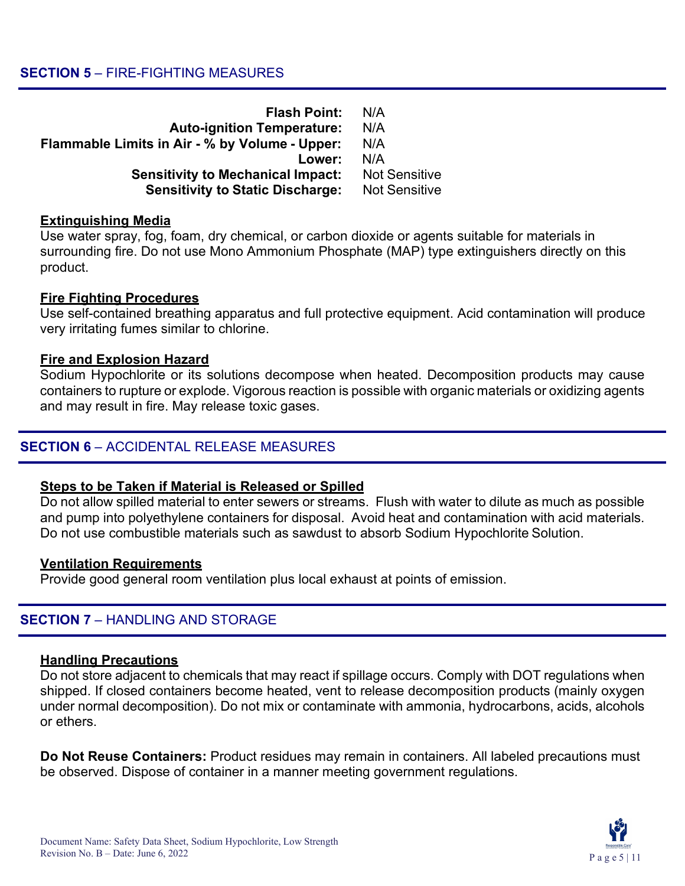| <b>Flash Point:</b>                            | N/A                  |
|------------------------------------------------|----------------------|
| <b>Auto-ignition Temperature:</b>              | N/A                  |
| Flammable Limits in Air - % by Volume - Upper: | N/A                  |
| Lower:                                         | N/A                  |
| <b>Sensitivity to Mechanical Impact:</b>       | <b>Not Sensitive</b> |
| <b>Sensitivity to Static Discharge:</b>        | <b>Not Sensitive</b> |

#### **Extinguishing Media**

Use water spray, fog, foam, dry chemical, or carbon dioxide or agents suitable for materials in surrounding fire. Do not use Mono Ammonium Phosphate (MAP) type extinguishers directly on this product.

#### **Fire Fighting Procedures**

Use self-contained breathing apparatus and full protective equipment. Acid contamination will produce very irritating fumes similar to chlorine.

#### **Fire and Explosion Hazard**

Sodium Hypochlorite or its solutions decompose when heated. Decomposition products may cause containers to rupture or explode. Vigorous reaction is possible with organic materials or oxidizing agents and may result in fire. May release toxic gases.

#### **SECTION 6** – ACCIDENTAL RELEASE MEASURES

#### **Steps to be Taken if Material is Released or Spilled**

Do not allow spilled material to enter sewers or streams. Flush with water to dilute as much as possible and pump into polyethylene containers for disposal. Avoid heat and contamination with acid materials. Do not use combustible materials such as sawdust to absorb Sodium Hypochlorite Solution.

#### **Ventilation Requirements**

Provide good general room ventilation plus local exhaust at points of emission.

#### **SECTION 7** – HANDLING AND STORAGE

#### **Handling Precautions**

Do not store adjacent to chemicals that may react if spillage occurs. Comply with DOT regulations when shipped. If closed containers become heated, vent to release decomposition products (mainly oxygen under normal decomposition). Do not mix or contaminate with ammonia, hydrocarbons, acids, alcohols or ethers.

**Do Not Reuse Containers:** Product residues may remain in containers. All labeled precautions must be observed. Dispose of container in a manner meeting government regulations.

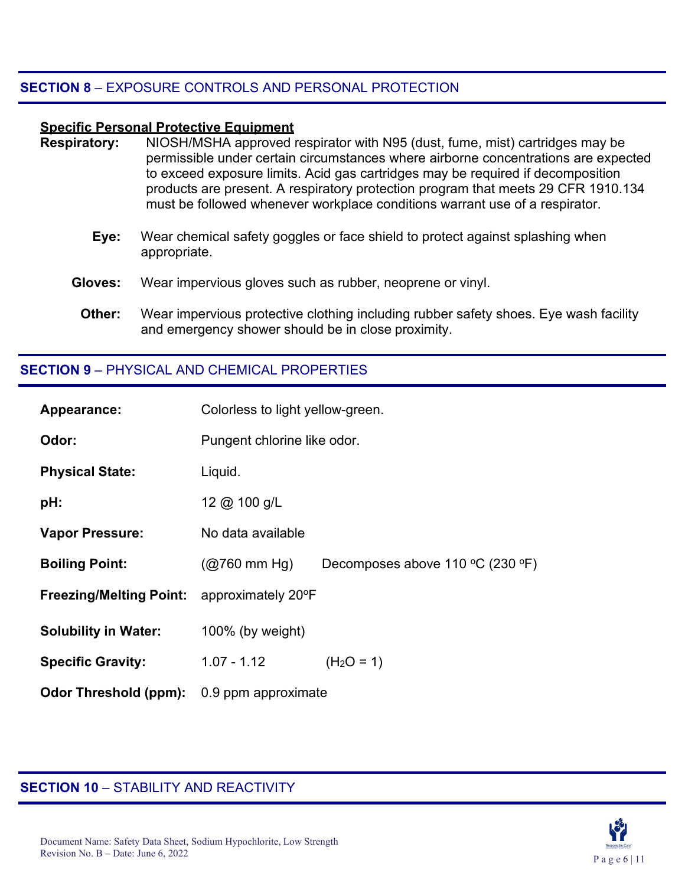#### **SECTION 8** – EXPOSURE CONTROLS AND PERSONAL PROTECTION

#### **Specific Personal Protective Equipment**

- **Respiratory:** NIOSH/MSHA approved respirator with N95 (dust, fume, mist) cartridges may be permissible under certain circumstances where airborne concentrations are expected to exceed exposure limits. Acid gas cartridges may be required if decomposition products are present. A respiratory protection program that meets 29 CFR 1910.134 must be followed whenever workplace conditions warrant use of a respirator.
	- **Eye:** Wear chemical safety goggles or face shield to protect against splashing when appropriate.
	- **Gloves:** Wear impervious gloves such as rubber, neoprene or vinyl.
		- **Other:** Wear impervious protective clothing including rubber safety shoes. Eye wash facility and emergency shower should be in close proximity.

#### **SECTION 9** – PHYSICAL AND CHEMICAL PROPERTIES

| Appearance:                    | Colorless to light yellow-green. |                                                               |
|--------------------------------|----------------------------------|---------------------------------------------------------------|
| Odor:                          | Pungent chlorine like odor.      |                                                               |
| <b>Physical State:</b>         | Liquid.                          |                                                               |
| pH:                            | 12 @ 100 g/L                     |                                                               |
| <b>Vapor Pressure:</b>         | No data available                |                                                               |
| <b>Boiling Point:</b>          | $(Q760 \text{ mm Hg})$           | Decomposes above 110 $\rm{^{\circ}C}$ (230 $\rm{^{\circ}F}$ ) |
| <b>Freezing/Melting Point:</b> | approximately 20°F               |                                                               |
| <b>Solubility in Water:</b>    | $100\%$ (by weight)              |                                                               |
| <b>Specific Gravity:</b>       | $1.07 - 1.12$                    | $(H2O = 1)$                                                   |
| <b>Odor Threshold (ppm):</b>   | 0.9 ppm approximate              |                                                               |

#### **SECTION 10** – STABILITY AND REACTIVITY

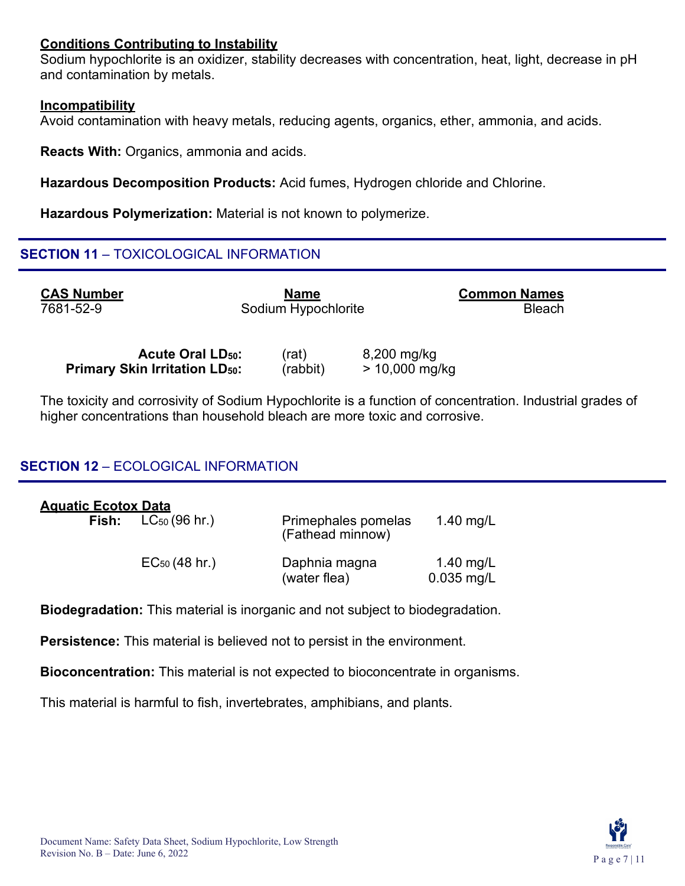#### **Conditions Contributing to Instability**

Sodium hypochlorite is an oxidizer, stability decreases with concentration, heat, light, decrease in pH and contamination by metals.

#### **Incompatibility**

Avoid contamination with heavy metals, reducing agents, organics, ether, ammonia, and acids.

**Reacts With:** Organics, ammonia and acids.

**Hazardous Decomposition Products:** Acid fumes, Hydrogen chloride and Chlorine.

**Hazardous Polymerization:** Material is not known to polymerize.

#### **SECTION 11** – TOXICOLOGICAL INFORMATION

**CAS Number** 7681-52-9

**Name** Sodium Hypochlorite **Common Names Bleach** 

**Acute Oral LD<sub>50</sub>:** (rat) 8,200 mg/kg<br> **in Irritation LD**<sub>50</sub>: (rabbit) > 10,000 mg/kg **Primary Skin Irritation LD<sub>50</sub>:** 

The toxicity and corrosivity of Sodium Hypochlorite is a function of concentration. Industrial grades of higher concentrations than household bleach are more toxic and corrosive.

### **SECTION 12** – ECOLOGICAL INFORMATION

| <u> Aquatic Ecotox Data</u> |                                 |                                         |                           |
|-----------------------------|---------------------------------|-----------------------------------------|---------------------------|
|                             | <b>Fish:</b> $LC_{50}$ (96 hr.) | Primephales pomelas<br>(Fathead minnow) | 1.40 mg/L                 |
|                             | $EC_{50}$ (48 hr.)              | Daphnia magna<br>(water flea)           | 1.40 mg/L<br>$0.035$ mg/L |

**Biodegradation:** This material is inorganic and not subject to biodegradation.

**Persistence:** This material is believed not to persist in the environment.

**Bioconcentration:** This material is not expected to bioconcentrate in organisms.

This material is harmful to fish, invertebrates, amphibians, and plants.

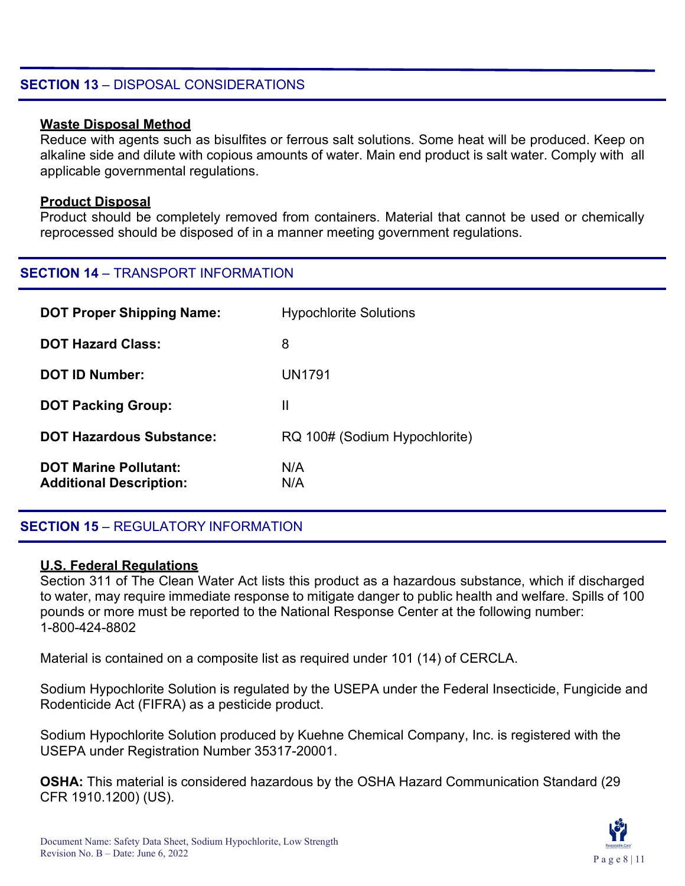#### **SECTION 13** – DISPOSAL CONSIDERATIONS

#### **Waste Disposal Method**

Reduce with agents such as bisulfites or ferrous salt solutions. Some heat will be produced. Keep on alkaline side and dilute with copious amounts of water. Main end product is salt water. Comply with all applicable governmental regulations.

#### **Product Disposal**

Product should be completely removed from containers. Material that cannot be used or chemically reprocessed should be disposed of in a manner meeting government regulations.

#### **SECTION 14** – TRANSPORT INFORMATION

| <b>DOT Proper Shipping Name:</b>                               | <b>Hypochlorite Solutions</b> |
|----------------------------------------------------------------|-------------------------------|
| <b>DOT Hazard Class:</b>                                       | 8                             |
| <b>DOT ID Number:</b>                                          | UN1791                        |
| <b>DOT Packing Group:</b>                                      | Ш                             |
| <b>DOT Hazardous Substance:</b>                                | RQ 100# (Sodium Hypochlorite) |
| <b>DOT Marine Pollutant:</b><br><b>Additional Description:</b> | N/A<br>N/A                    |

#### **SECTION 15** – REGULATORY INFORMATION

#### **U.S. Federal Regulations**

Section 311 of The Clean Water Act lists this product as a hazardous substance, which if discharged to water, may require immediate response to mitigate danger to public health and welfare. Spills of 100 pounds or more must be reported to the National Response Center at the following number: 1-800-424-8802

Material is contained on a composite list as required under 101 (14) of CERCLA.

Sodium Hypochlorite Solution is regulated by the USEPA under the Federal Insecticide, Fungicide and Rodenticide Act (FIFRA) as a pesticide product.

Sodium Hypochlorite Solution produced by Kuehne Chemical Company, Inc. is registered with the USEPA under Registration Number 35317-20001.

**OSHA:** This material is considered hazardous by the OSHA Hazard Communication Standard (29 CFR 1910.1200) (US).

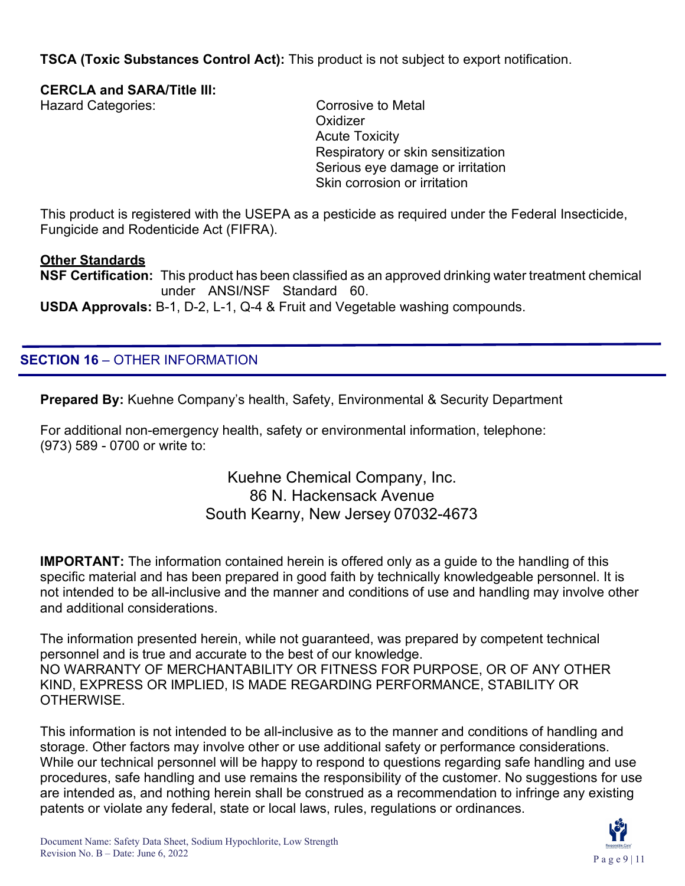**TSCA (Toxic Substances Control Act):** This product is not subject to export notification.

#### **CERCLA and SARA/Title III:**

Hazard Categories: Corrosive to Metal

**Oxidizer** Acute Toxicity Respiratory or skin sensitization Serious eye damage or irritation Skin corrosion or irritation

This product is registered with the USEPA as a pesticide as required under the Federal Insecticide, Fungicide and Rodenticide Act (FIFRA).

#### **Other Standards**

**NSF Certification:** This product has been classified as an approved drinking water treatment chemical under ANSI/NSF Standard 60. **USDA Approvals:** B-1, D-2, L-1, Q-4 & Fruit and Vegetable washing compounds.

# **SECTION 16** – OTHER INFORMATION

**Prepared By:** Kuehne Company's health, Safety, Environmental & Security Department

For additional non-emergency health, safety or environmental information, telephone: (973) 589 - 0700 or write to:

#### Kuehne Chemical Company, Inc. 86 N. Hackensack Avenue South Kearny, New Jersey 07032-4673

**IMPORTANT:** The information contained herein is offered only as a guide to the handling of this specific material and has been prepared in good faith by technically knowledgeable personnel. It is not intended to be all-inclusive and the manner and conditions of use and handling may involve other and additional considerations.

The information presented herein, while not guaranteed, was prepared by competent technical personnel and is true and accurate to the best of our knowledge. NO WARRANTY OF MERCHANTABILITY OR FITNESS FOR PURPOSE, OR OF ANY OTHER KIND, EXPRESS OR IMPLIED, IS MADE REGARDING PERFORMANCE, STABILITY OR **OTHERWISE** 

This information is not intended to be all-inclusive as to the manner and conditions of handling and storage. Other factors may involve other or use additional safety or performance considerations. While our technical personnel will be happy to respond to questions regarding safe handling and use procedures, safe handling and use remains the responsibility of the customer. No suggestions for use are intended as, and nothing herein shall be construed as a recommendation to infringe any existing patents or violate any federal, state or local laws, rules, regulations or ordinances.

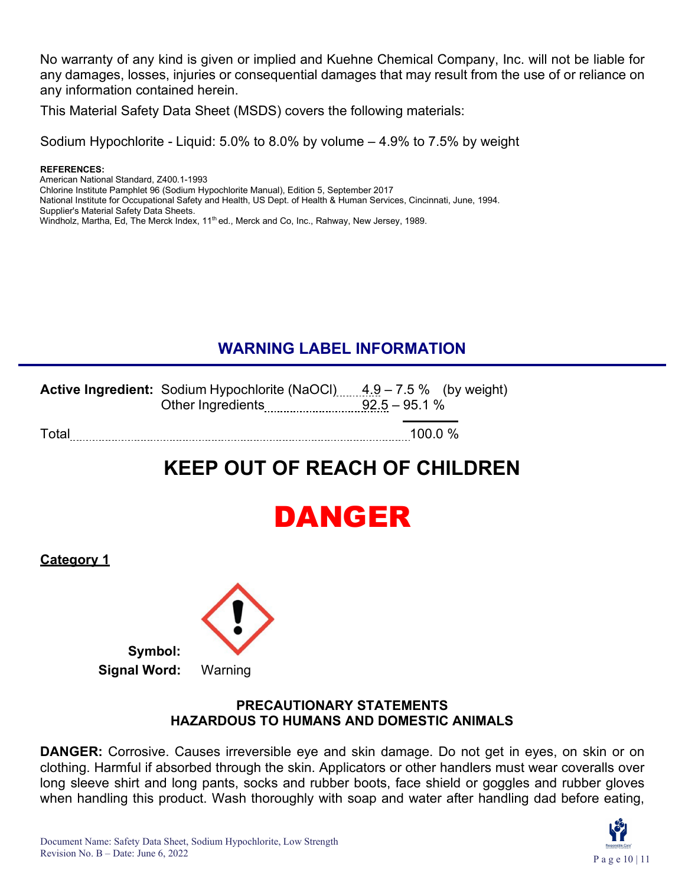No warranty of any kind is given or implied and Kuehne Chemical Company, Inc. will not be liable for any damages, losses, injuries or consequential damages that may result from the use of or reliance on any information contained herein.

This Material Safety Data Sheet (MSDS) covers the following materials:

Sodium Hypochlorite - Liquid: 5.0% to 8.0% by volume – 4.9% to 7.5% by weight

#### **REFERENCES:**

American National Standard, Z400.1-1993

Chlorine Institute Pamphlet 96 (Sodium Hypochlorite Manual), Edition 5, September 2017

National Institute for Occupational Safety and Health, US Dept. of Health & Human Services, Cincinnati, June, 1994. Supplier's Material Safety Data Sheets.

Windholz, Martha, Ed, The Merck Index, 11<sup>th</sup> ed., Merck and Co, Inc., Rahway, New Jersey, 1989.

# **WARNING LABEL INFORMATION**

|       | <b>Active Ingredient:</b> Sodium Hypochlorite (NaOCI) $\ldots$ 4.9 – 7.5 % (by weight) |           |
|-------|----------------------------------------------------------------------------------------|-----------|
|       |                                                                                        |           |
| Total |                                                                                        | 100.0 $%$ |

# **KEEP OUT OF REACH OF CHILDREN**



**Category 1**



#### **PRECAUTIONARY STATEMENTS HAZARDOUS TO HUMANS AND DOMESTIC ANIMALS**

**DANGER:** Corrosive. Causes irreversible eye and skin damage. Do not get in eyes, on skin or on clothing. Harmful if absorbed through the skin. Applicators or other handlers must wear coveralls over long sleeve shirt and long pants, socks and rubber boots, face shield or goggles and rubber gloves when handling this product. Wash thoroughly with soap and water after handling dad before eating,

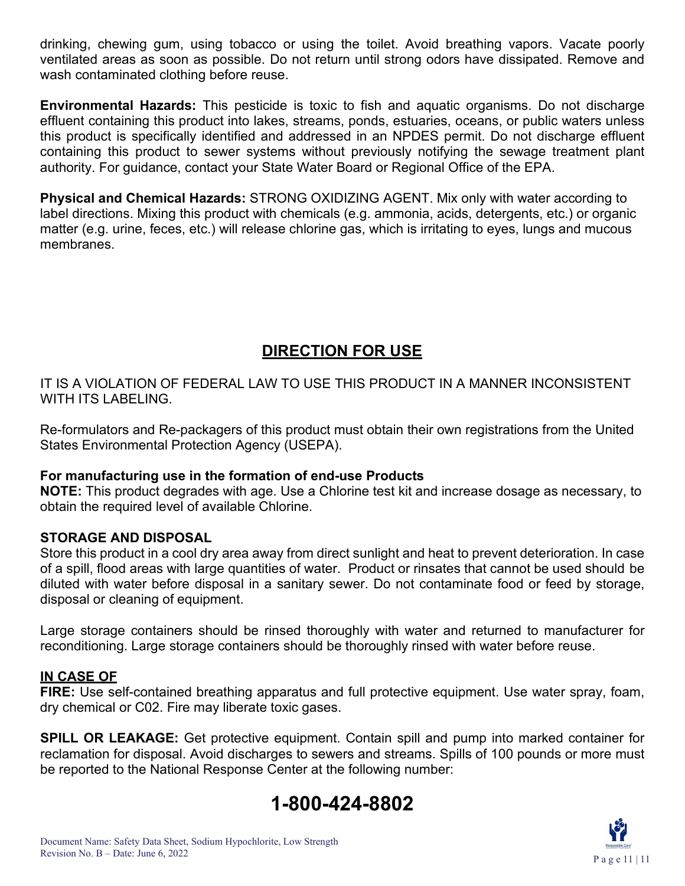drinking, chewing gum, using tobacco or using the toilet. Avoid breathing vapors. Vacate poorly ventilated areas as soon as possible. Do not return until strong odors have dissipated. Remove and wash contaminated clothing before reuse.

**Environmental Hazards:** This pesticide is toxic to fish and aquatic organisms. Do not discharge effluent containing this product into lakes, streams, ponds, estuaries, oceans, or public waters unless this product is specifically identified and addressed in an NPDES permit. Do not discharge effluent containing this product to sewer systems without previously notifying the sewage treatment plant authority. For guidance, contact your State Water Board or Regional Office of the EPA.

**Physical and Chemical Hazards:** STRONG OXIDIZING AGENT. Mix only with water according to label directions. Mixing this product with chemicals (e.g. ammonia, acids, detergents, etc.) or organic matter (e.g. urine, feces, etc.) will release chlorine gas, which is irritating to eyes, lungs and mucous membranes.

## **DIRECTION FOR USE**

IT IS A VIOLATION OF FEDERAL LAW TO USE THIS PRODUCT IN A MANNER INCONSISTENT WITH ITS LABELING.

Re-formulators and Re-packagers of this product must obtain their own registrations from the United States Environmental Protection Agency (USEPA).

#### **For manufacturing use in the formation of end-use Products**

**NOTE:** This product degrades with age. Use a Chlorine test kit and increase dosage as necessary, to obtain the required level of available Chlorine.

#### **STORAGE AND DISPOSAL**

Store this product in a cool dry area away from direct sunlight and heat to prevent deterioration. In case of a spill, flood areas with large quantities of water. Product or rinsates that cannot be used should be diluted with water before disposal in a sanitary sewer. Do not contaminate food or feed by storage, disposal or cleaning of equipment.

Large storage containers should be rinsed thoroughly with water and returned to manufacturer for reconditioning. Large storage containers should be thoroughly rinsed with water before reuse.

#### **IN CASE OF**

**FIRE:** Use self-contained breathing apparatus and full protective equipment. Use water spray, foam, dry chemical or C02. Fire may liberate toxic gases.

**SPILL OR LEAKAGE:** Get protective equipment. Contain spill and pump into marked container for reclamation for disposal. Avoid discharges to sewers and streams. Spills of 100 pounds or more must be reported to the National Response Center at the following number: